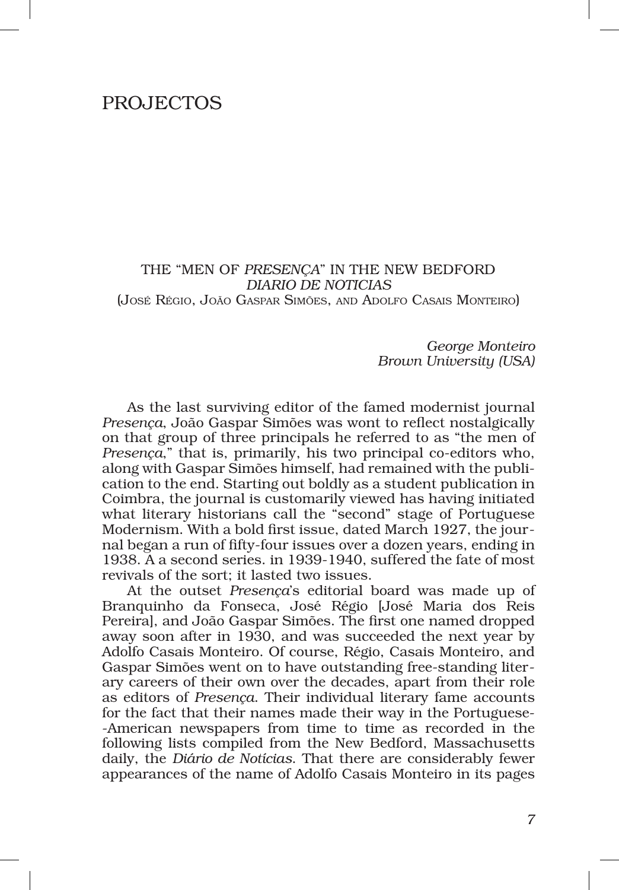## PROJECTOs

THE "MEN OF *PRESENÇA*" IN THE NEW BEDFORD *DIARIO DE NOTICIAS* (José Régio, João Gaspar Simões, and Adolfo Casais Monteiro)

> *George Monteiro Brown University (USA)*

As the last surviving editor of the famed modernist journal *Presença*, João Gaspar Simões was wont to reflect nostalgically on that group of three principals he referred to as "the men of *Presenca*," that is, primarily, his two principal co-editors who, along with Gaspar Simões himself, had remained with the publication to the end. Starting out boldly as a student publication in Coimbra, the journal is customarily viewed has having initiated what literary historians call the "second" stage of Portuguese Modernism. With a bold first issue, dated March 1927, the journal began a run of fifty‑four issues over a dozen years, ending in 1938. A a second series. in 1939‑1940, suffered the fate of most revivals of the sort; it lasted two issues.

At the outset *Presença*'s editorial board was made up of Branquinho da Fonseca, José Régio [José Maria dos Reis Pereira], and João Gaspar Simões. The first one named dropped away soon after in 1930, and was succeeded the next year by Adolfo Casais Monteiro. Of course, Régio, Casais Monteiro, and Gaspar Simões went on to have outstanding free‑standing liter‑ ary careers of their own over the decades, apart from their role as editors of *Presença*. Their individual literary fame accounts for the fact that their names made their way in the Portuguese-‑American newspapers from time to time as recorded in the following lists compiled from the New Bedford, Massachusetts daily, the *Diário de Notícias*. That there are considerably fewer appearances of the name of Adolfo Casais Monteiro in its pages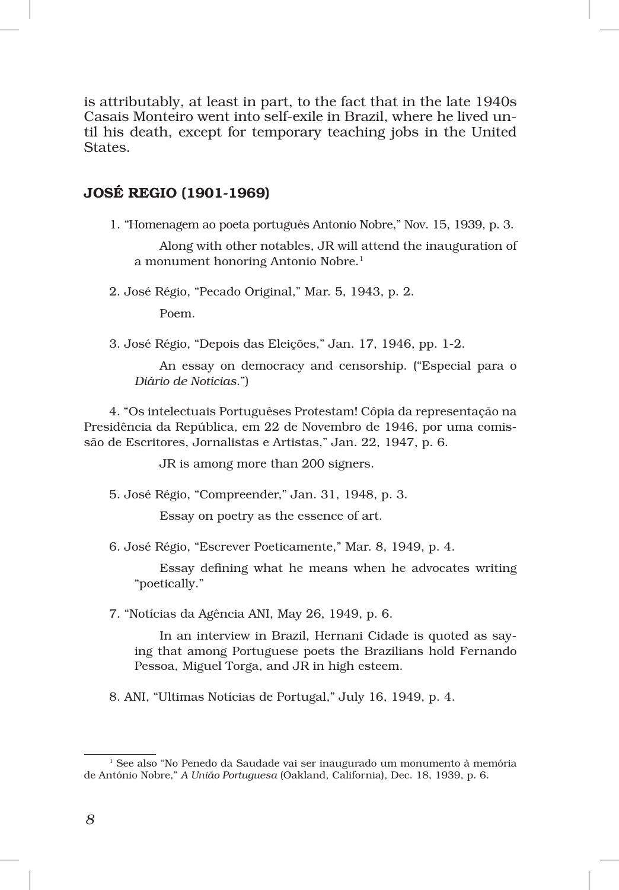is attributably, at least in part, to the fact that in the late 1940s Casais Monteiro went into self-exile in Brazil, where he lived until his death, except for temporary teaching jobs in the United States.

## JOSÉ REGIO (1901‑1969)

1. "Homenagem ao poeta português Antonio Nobre," Nov. 15, 1939, p. 3.

Along with other notables, JR will attend the inauguration of a monument honoring Antonio Nobre.<sup>1</sup>

2. José Régio, "Pecado Original," Mar. 5, 1943, p. 2.

Poem.

3. José Régio, "Depois das Eleições," Jan. 17, 1946, pp. 1‑2.

An essay on democracy and censorship. ("Especial para o *Diário de Notícias*.")

4. "Os intelectuais Portuguêses Protestam! Cópia da representação na Presidência da República, em 22 de Novembro de 1946, por uma comis‑ são de Escritores, Jornalistas e Artistas," Jan. 22, 1947, p. 6.

JR is among more than 200 signers.

5. José Régio, "Compreender," Jan. 31, 1948, p. 3.

Essay on poetry as the essence of art.

6. José Régio, "Escrever Poeticamente," Mar. 8, 1949, p. 4.

Essay defining what he means when he advocates writing "poetically."

7. "Notícias da Agência ANI, May 26, 1949, p. 6.

In an interview in Brazil, Hernani Cidade is quoted as saying that among Portuguese poets the Brazilians hold Fernando Pessoa, Miguel Torga, and JR in high esteem.

8. ANI, "Ultimas Notícias de Portugal," July 16, 1949, p. 4.

 $^{\rm 1}$  See also "No Penedo da Saudade vai ser inaugurado um monumento à memória de António Nobre," *A União Portuguesa* (Oakland, California), Dec. 18, 1939, p. 6.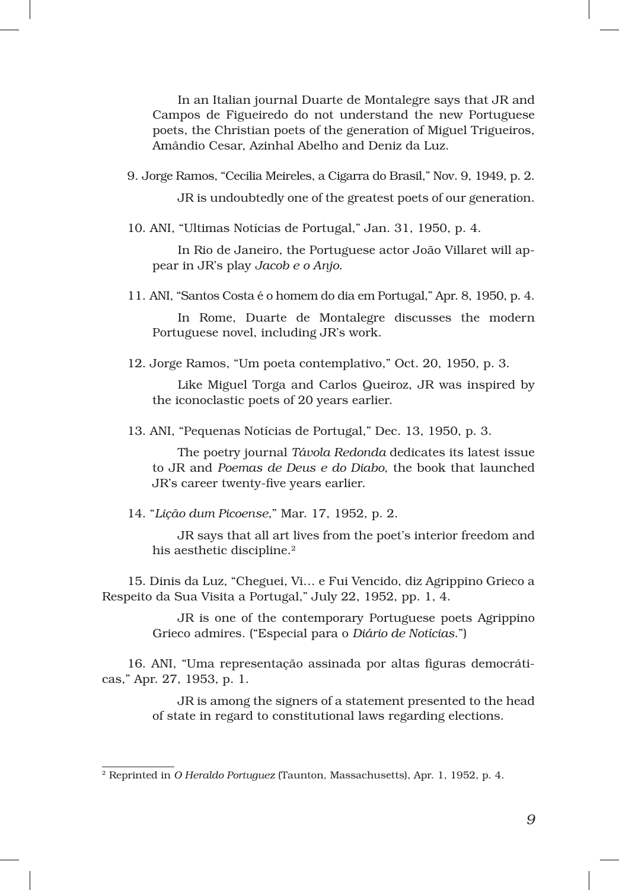In an Italian journal Duarte de Montalegre says that JR and Campos de Figueiredo do not understand the new Portuguese poets, the Christian poets of the generation of Miguel Trigueiros, Amândio Cesar, Azinhal Abelho and Deniz da Luz.

9. Jorge Ramos, "Cecilia Meireles, a Cigarra do Brasil," Nov. 9, 1949, p. 2.

JR is undoubtedly one of the greatest poets of our generation.

10. ANI, "Ultimas Notícias de Portugal," Jan. 31, 1950, p. 4.

In Rio de Janeiro, the Portuguese actor João Villaret will appear in JR's play *Jacob e o Anjo.*

11. ANI, "Santos Costa é o homem do dia em Portugal," Apr. 8, 1950, p. 4.

In Rome, Duarte de Montalegre discusses the modern Portuguese novel, including JR's work.

12. Jorge Ramos, "Um poeta contemplativo," Oct. 20, 1950, p. 3.

Like Miguel Torga and Carlos Queiroz, JR was inspired by the iconoclastic poets of 20 years earlier.

13. ANI, "Pequenas Notícias de Portugal," Dec. 13, 1950, p. 3.

The poetry journal *Távola Redonda* dedicates its latest issue to JR and *Poemas de Deus e do Diabo*, the book that launched JR's career twenty‑five years earlier.

14. "*Lição dum Picoense*," Mar. 17, 1952, p. 2.

JR says that all art lives from the poet's interior freedom and his aesthetic discipline.<sup>2</sup>

15. Dinis da Luz, "Cheguei, Vi… e Fui Vencido, diz Agrippino Grieco a Respeito da Sua Visita a Portugal," July 22, 1952, pp. 1, 4.

> JR is one of the contemporary Portuguese poets Agrippino Grieco admires. ("Especial para o *Diário de Notícias*.")

16. ANI, "Uma representação assinada por altas figuras democráticas," Apr. 27, 1953, p. 1.

> JR is among the signers of a statement presented to the head of state in regard to constitutional laws regarding elections.

<sup>2</sup> Reprinted in *O Heraldo Portuguez* (Taunton, Massachusetts), Apr. 1, 1952, p. 4.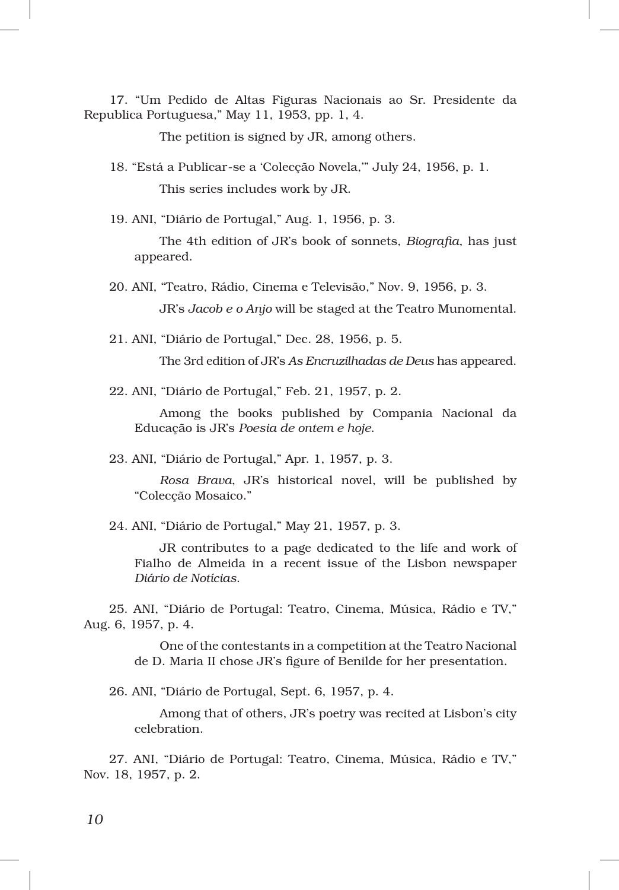17. "Um Pedido de Altas Figuras Nacionais ao Sr. Presidente da Republica Portuguesa," May 11, 1953, pp. 1, 4.

The petition is signed by JR, among others.

18. "Está a Publicar‑se a 'Colecção Novela,'" July 24, 1956, p. 1. This series includes work by JR.

19. ANI, "Diário de Portugal," Aug. 1, 1956, p. 3.

The 4th edition of JR's book of sonnets, *Biografia*, has just appeared.

- 20. ANI, "Teatro, Rádio, Cinema e Televisão," Nov. 9, 1956, p. 3. JR's *Jacob e o Anjo* will be staged at the Teatro Munomental.
- 21. ANI, "Diário de Portugal," Dec. 28, 1956, p. 5.

The 3rd edition of JR's *As Encruzilhadas de Deus* has appeared.

22. ANI, "Diário de Portugal," Feb. 21, 1957, p. 2.

Among the books published by Compania Nacional da Educação is JR's *Poesia de ontem e hoje*.

23. ANI, "Diário de Portugal," Apr. 1, 1957, p. 3.

*Rosa Brava*, JR's historical novel, will be published by "Colecção Mosaico."

24. ANI, "Diário de Portugal," May 21, 1957, p. 3.

JR contributes to a page dedicated to the life and work of Fialho de Almeida in a recent issue of the Lisbon newspaper *Diário de Notícias*.

25. ANI, "Diário de Portugal: Teatro, Cinema, Música, Rádio e TV," Aug. 6, 1957, p. 4.

> One of the contestants in a competition at the Teatro Nacional de D. Maria II chose JR's figure of Benilde for her presentation.

26. ANI, "Diário de Portugal, Sept. 6, 1957, p. 4.

Among that of others, JR's poetry was recited at Lisbon's city celebration.

27. ANI, "Diário de Portugal: Teatro, Cinema, Música, Rádio e TV," Nov. 18, 1957, p. 2.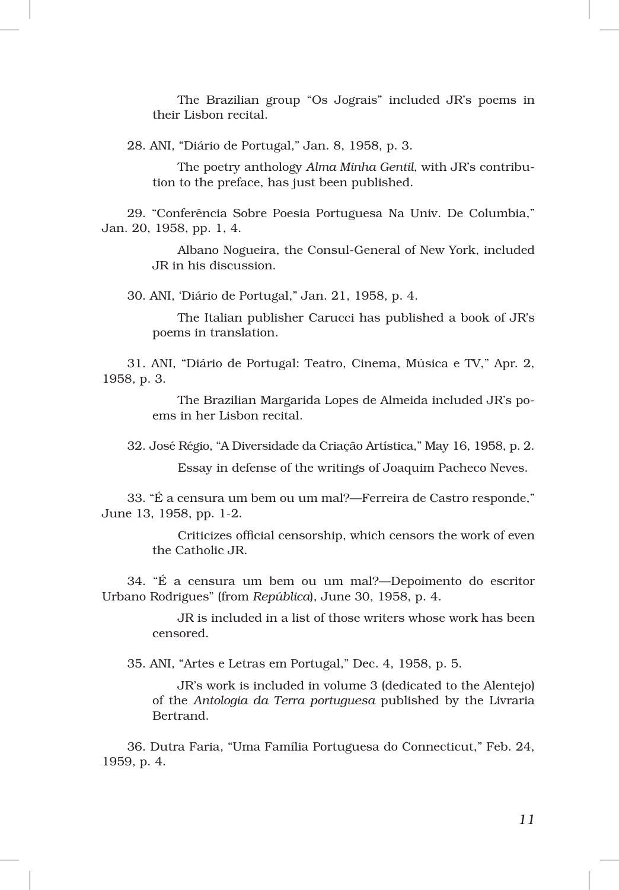The Brazilian group "Os Jograis" included JR's poems in their Lisbon recital.

28. ANI, "Diário de Portugal," Jan. 8, 1958, p. 3.

The poetry anthology *Alma Minha Gentil*, with JR's contribution to the preface, has just been published.

29. "Conferência Sobre Poesia Portuguesa Na Univ. De Columbia," Jan. 20, 1958, pp. 1, 4.

> Albano Nogueira, the Consul‑General of New York, included JR in his discussion.

30. ANI, 'Diário de Portugal," Jan. 21, 1958, p. 4.

The Italian publisher Carucci has published a book of JR's poems in translation.

31. ANI, "Diário de Portugal: Teatro, Cinema, Música e TV," Apr. 2, 1958, p. 3.

> The Brazilian Margarida Lopes de Almeida included JR's poems in her Lisbon recital.

32. José Régio, "A Diversidade da Criação Artística," May 16, 1958, p. 2.

Essay in defense of the writings of Joaquim Pacheco Neves.

33. "É a censura um bem ou um mal?—Ferreira de Castro responde," June 13, 1958, pp. 1‑2.

> Criticizes official censorship, which censors the work of even the Catholic JR.

34. "É a censura um bem ou um mal?—Depoimento do escritor Urbano Rodrigues" (from *República*), June 30, 1958, p. 4.

> JR is included in a list of those writers whose work has been censored.

35. ANI, "Artes e Letras em Portugal," Dec. 4, 1958, p. 5.

JR's work is included in volume 3 (dedicated to the Alentejo) of the *Antologia da Terra portuguesa* published by the Livraria Bertrand.

36. Dutra Faria, "Uma Família Portuguesa do Connecticut," Feb. 24, 1959, p. 4.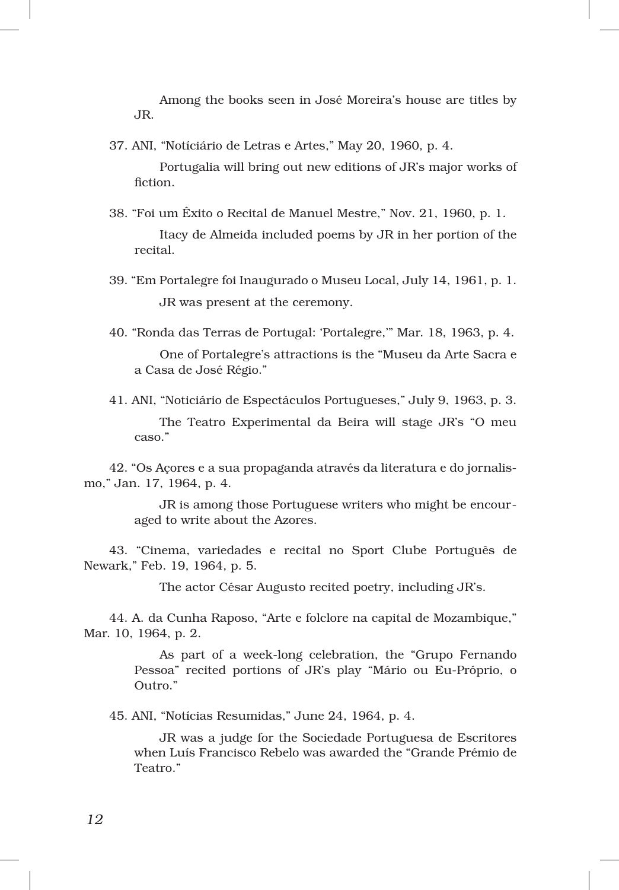Among the books seen in José Moreira's house are titles by JR.

37. ANI, "Notíciário de Letras e Artes," May 20, 1960, p. 4.

Portugalia will bring out new editions of JR's major works of fiction.

- 38. "Foi um Êxito o Recital de Manuel Mestre," Nov. 21, 1960, p. 1. Itacy de Almeida included poems by JR in her portion of the recital.
- 39. "Em Portalegre foi Inaugurado o Museu Local, July 14, 1961, p. 1. JR was present at the ceremony.
- 40. "Ronda das Terras de Portugal: 'Portalegre,'" Mar. 18, 1963, p. 4. One of Portalegre's attractions is the "Museu da Arte Sacra e a Casa de José Régio."

41. ANI, "Noticiário de Espectáculos Portugueses," July 9, 1963, p. 3. The Teatro Experimental da Beira will stage JR's "O meu caso."

42. "Os Açores e a sua propaganda através da literatura e do jornalismo," Jan. 17, 1964, p. 4.

> JR is among those Portuguese writers who might be encouraged to write about the Azores.

43. "Cinema, variedades e recital no Sport Clube Português de Newark," Feb. 19, 1964, p. 5.

The actor César Augusto recited poetry, including JR's.

44. A. da Cunha Raposo, "Arte e folclore na capital de Mozambique," Mar. 10, 1964, p. 2.

> As part of a week-long celebration, the "Grupo Fernando" Pessoa" recited portions of JR's play "Mário ou Eu‑Próprio, o Outro."

45. ANI, "Notícias Resumidas," June 24, 1964, p. 4.

JR was a judge for the Sociedade Portuguesa de Escritores when Luís Francisco Rebelo was awarded the "Grande Prémio de Teatro."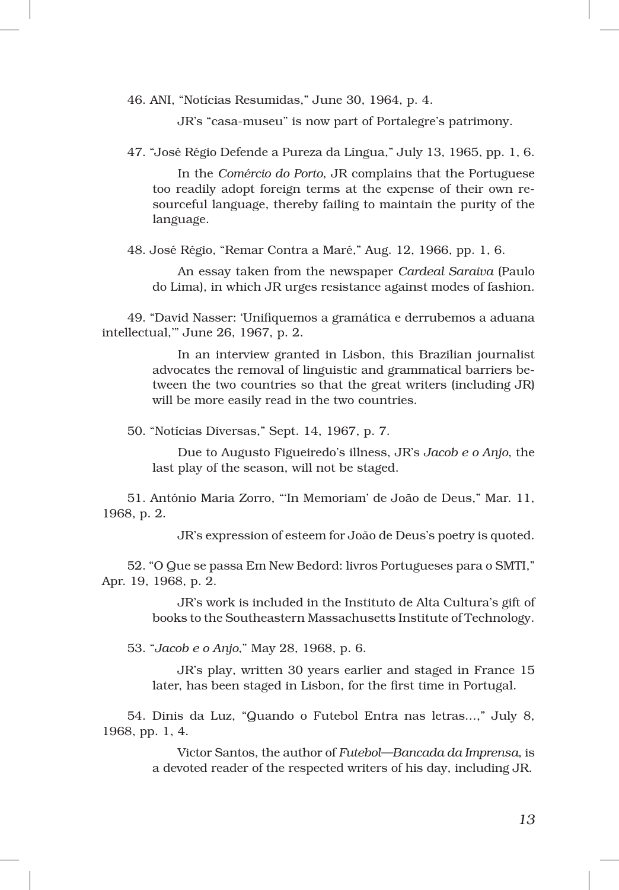46. ANI, "Notícias Resumidas," June 30, 1964, p. 4.

JR's "casa‑museu" is now part of Portalegre's patrimony.

47. "José Régio Defende a Pureza da Língua," July 13, 1965, pp. 1, 6.

In the *Comércio do Porto*, JR complains that the Portuguese too readily adopt foreign terms at the expense of their own re‑ sourceful language, thereby failing to maintain the purity of the language.

48. José Régio, "Remar Contra a Maré," Aug. 12, 1966, pp. 1, 6.

An essay taken from the newspaper *Cardeal Saraiva* (Paulo do Lima), in which JR urges resistance against modes of fashion.

49. "David Nasser: 'Unifiquemos a gramática e derrubemos a aduana intellectual,'" June 26, 1967, p. 2.

> In an interview granted in Lisbon, this Brazilian journalist advocates the removal of linguistic and grammatical barriers be‑ tween the two countries so that the great writers (including JR) will be more easily read in the two countries.

50. "Notícias Diversas," Sept. 14, 1967, p. 7.

Due to Augusto Figueiredo's illness, JR's *Jacob e o Anjo*, the last play of the season, will not be staged.

51. António Maria Zorro, "'In Memoriam' de João de Deus," Mar. 11, 1968, p. 2.

JR's expression of esteem for João de Deus's poetry is quoted.

52. "O Que se passa Em New Bedord: livros Portugueses para o SMTI," Apr. 19, 1968, p. 2.

> JR's work is included in the Instituto de Alta Cultura's gift of books to the Southeastern Massachusetts Institute of Technology.

53. "*Jacob e o Anjo*," May 28, 1968, p. 6.

JR's play, written 30 years earlier and staged in France 15 later, has been staged in Lisbon, for the first time in Portugal.

54. Dinis da Luz, "Quando o Futebol Entra nas letras...," July 8, 1968, pp. 1, 4.

> Victor Santos, the author of *Futebol—Bancada da Imprensa*, is a devoted reader of the respected writers of his day, including JR.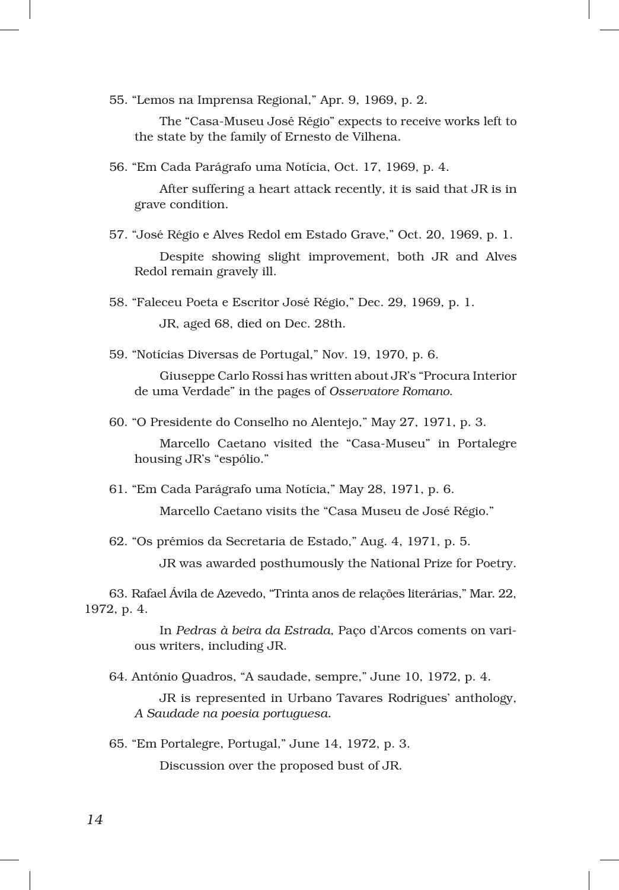55. "Lemos na Imprensa Regional," Apr. 9, 1969, p. 2.

The "Casa‑Museu José Régio" expects to receive works left to the state by the family of Ernesto de Vilhena.

56. "Em Cada Parágrafo uma Notícia, Oct. 17, 1969, p. 4.

After suffering a heart attack recently, it is said that JR is in grave condition.

57. "José Régio e Alves Redol em Estado Grave," Oct. 20, 1969, p. 1.

Despite showing slight improvement, both JR and Alves Redol remain gravely ill.

58. "Faleceu Poeta e Escritor José Régio," Dec. 29, 1969, p. 1. JR, aged 68, died on Dec. 28th.

59. "Notícias Diversas de Portugal," Nov. 19, 1970, p. 6.

Giuseppe Carlo Rossi has written about JR's "Procura Interior de uma Verdade" in the pages of *Osservatore Romano*.

60. "O Presidente do Conselho no Alentejo," May 27, 1971, p. 3.

Marcello Caetano visited the "Casa‑Museu" in Portalegre housing JR's "espólio."

61. "Em Cada Parágrafo uma Notícia," May 28, 1971, p. 6.

Marcello Caetano visits the "Casa Museu de José Régio."

62. "Os prémios da Secretaria de Estado," Aug. 4, 1971, p. 5.

JR was awarded posthumously the National Prize for Poetry.

63. Rafael Ávila de Azevedo, "Trinta anos de relações literárias," Mar. 22, 1972, p. 4.

> In *Pedras à beira da Estrada*, Paço d'Arcos coments on various writers, including JR.

64. António Quadros, "A saudade, sempre," June 10, 1972, p. 4.

JR is represented in Urbano Tavares Rodrigues' anthology, *A Saudade na poesia portuguesa.*

65. "Em Portalegre, Portugal," June 14, 1972, p. 3. Discussion over the proposed bust of JR.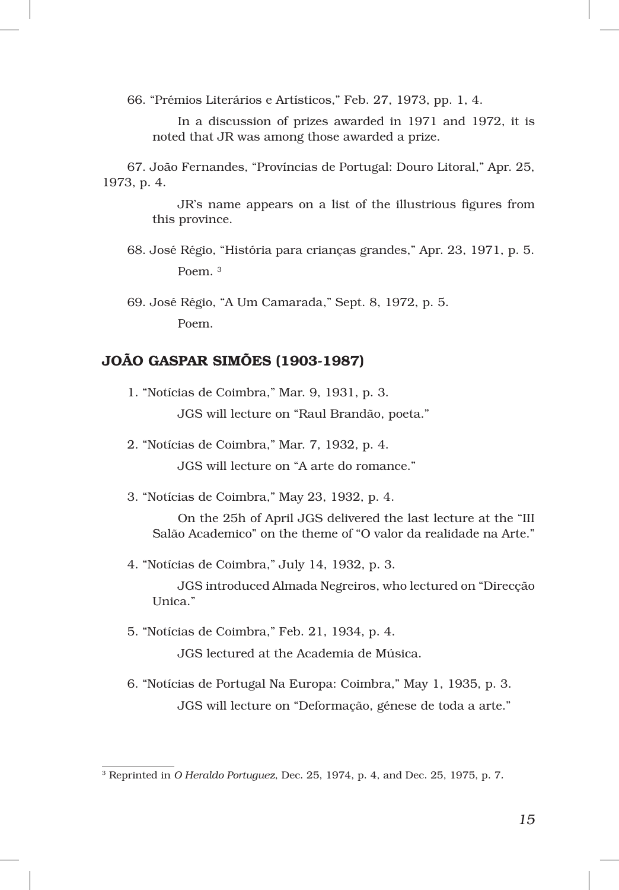66. "Prémios Literários e Artísticos," Feb. 27, 1973, pp. 1, 4.

In a discussion of prizes awarded in 1971 and 1972, it is noted that JR was among those awarded a prize.

67. João Fernandes, "Províncias de Portugal: Douro Litoral," Apr. 25, 1973, p. 4.

> JR's name appears on a list of the illustrious figures from this province.

68. José Régio, "História para crianças grandes," Apr. 23, 1971, p. 5. Poem. <sup>3</sup>

69. José Régio, "A Um Camarada," Sept. 8, 1972, p. 5. Poem.

## JOÃO GASPAR SIMÕES (1903‑1987)

1. "Notícias de Coimbra," Mar. 9, 1931, p. 3.

JGS will lecture on "Raul Brandão, poeta."

2. "Notícias de Coimbra," Mar. 7, 1932, p. 4.

JGS will lecture on "A arte do romance."

3. "Notícias de Coimbra," May 23, 1932, p. 4.

On the 25h of April JGS delivered the last lecture at the "III Salão Academico" on the theme of "O valor da realidade na Arte."

4. "Notícias de Coimbra," July 14, 1932, p. 3.

JGS introduced Almada Negreiros, who lectured on "Direcção Unica."

- 5. "Notícias de Coimbra," Feb. 21, 1934, p. 4. JGS lectured at the Academia de Música.
- 6. "Notícias de Portugal Na Europa: Coimbra," May 1, 1935, p. 3. JGS will lecture on "Deformação, génese de toda a arte."

<sup>3</sup> Reprinted in *O Heraldo Portuguez*, Dec. 25, 1974, p. 4, and Dec. 25, 1975, p. 7*.*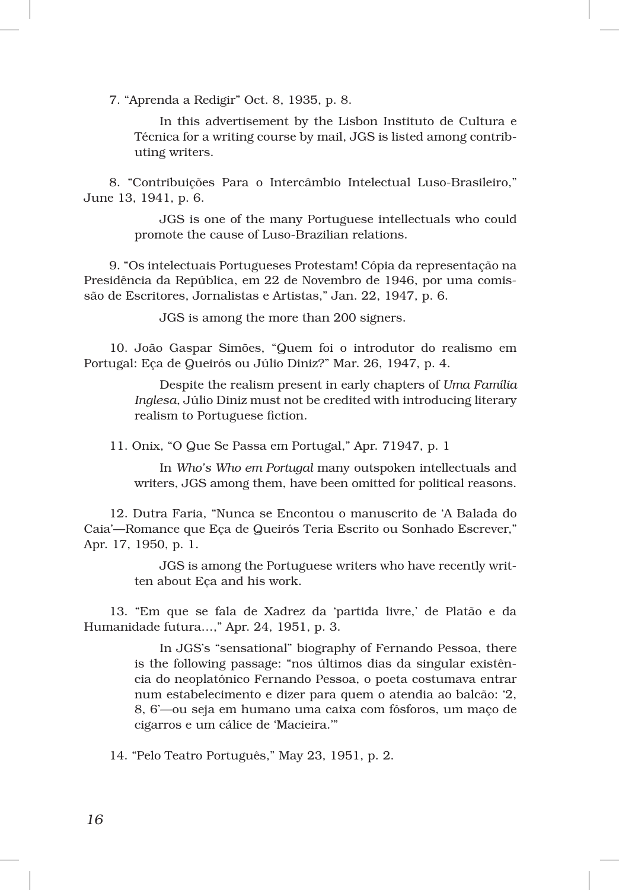7. "Aprenda a Redigir" Oct. 8, 1935, p. 8.

In this advertisement by the Lisbon Instituto de Cultura e Técnica for a writing course by mail, JGS is listed among contrib‑ uting writers.

8. "Contribuições Para o Intercâmbio Intelectual Luso‑Brasileiro," June 13, 1941, p. 6.

> JGS is one of the many Portuguese intellectuals who could promote the cause of Luso‑Brazilian relations.

9. "Os intelectuais Portugueses Protestam! Cópia da representação na Presidência da República, em 22 de Novembro de 1946, por uma comis‑ são de Escritores, Jornalistas e Artistas," Jan. 22, 1947, p. 6.

JGS is among the more than 200 signers.

10. João Gaspar Simões, "Quem foi o introdutor do realismo em Portugal: Eça de Queirós ou Júlio Diniz?" Mar. 26, 1947, p. 4.

> Despite the realism present in early chapters of *Uma Família Inglesa*, Júlio Diniz must not be credited with introducing literary realism to Portuguese fiction.

11. Onix, "O Que Se Passa em Portugal," Apr. 71947, p. 1

In *Who's Who em Portugal* many outspoken intellectuals and writers, JGS among them, have been omitted for political reasons.

12. Dutra Faria, "Nunca se Encontou o manuscrito de 'A Balada do Caia'—Romance que Eça de Queirós Teria Escrito ou Sonhado Escrever," Apr. 17, 1950, p. 1.

> JGS is among the Portuguese writers who have recently written about Eça and his work.

13. "Em que se fala de Xadrez da 'partida livre,' de Platão e da Humanidade futura…," Apr. 24, 1951, p. 3.

> In JGS's "sensational" biography of Fernando Pessoa, there is the following passage: "nos últimos dias da singular existência do neoplatónico Fernando Pessoa, o poeta costumava entrar num estabelecimento e dizer para quem o atendia ao balcão: '2, 8, 6'—ou seja em humano uma caixa com fósforos, um maço de cigarros e um cálice de 'Macieira.'"

14. "Pelo Teatro Português," May 23, 1951, p. 2.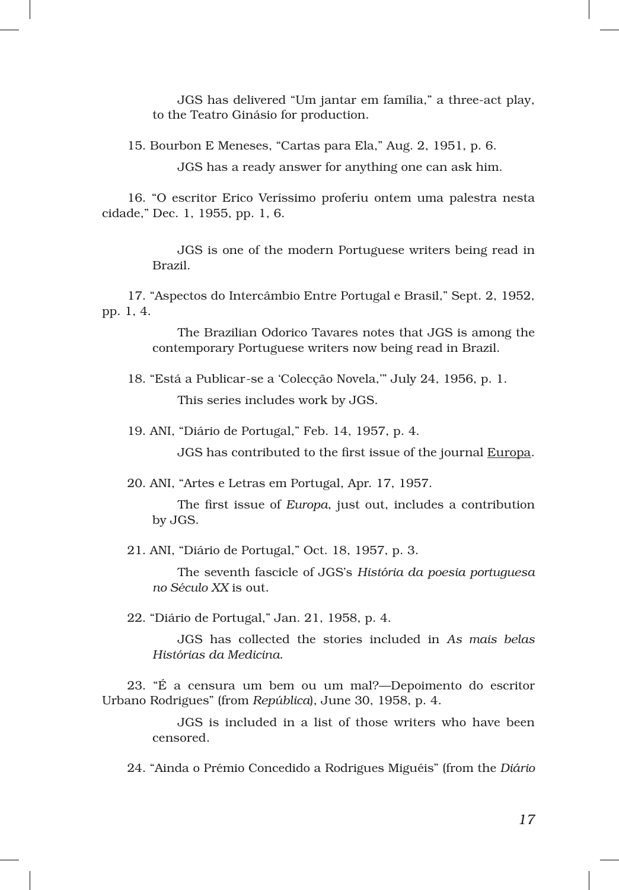JGS has delivered "Um jantar em família," a three‑act play, to the Teatro Ginásio for production.

15. Bourbon E Meneses, "Cartas para Ela," Aug. 2, 1951, p. 6.

JGS has a ready answer for anything one can ask him.

16. "O escritor Erico Veríssimo proferiu ontem uma palestra nesta cidade," Dec. 1, 1955, pp. 1, 6.

> JGS is one of the modern Portuguese writers being read in Brazil.

17. "Aspectos do Intercâmbio Entre Portugal e Brasil," Sept. 2, 1952, pp. 1, 4.

> The Brazilian Odorico Tavares notes that JGS is among the contemporary Portuguese writers now being read in Brazil.

- 18. "Está a Publicar‑se a 'Colecção Novela,'" July 24, 1956, p. 1. This series includes work by JGS.
- 19. ANI, "Diário de Portugal," Feb. 14, 1957, p. 4.

JGS has contributed to the first issue of the journal Europa.

20. ANI, "Artes e Letras em Portugal, Apr. 17, 1957.

The first issue of *Europa*, just out, includes a contribution by JGS.

21. ANI, "Diário de Portugal," Oct. 18, 1957, p. 3.

The seventh fascicle of JGS's *História da poesia portuguesa no Século XX* is out.

22. "Diário de Portugal," Jan. 21, 1958, p. 4.

JGS has collected the stories included in *As mais belas Histórias da Medicina*.

23. "É a censura um bem ou um mal?—Depoimento do escritor Urbano Rodrigues" (from *República*), June 30, 1958, p. 4.

> JGS is included in a list of those writers who have been censored.

24. "Ainda o Prémio Concedido a Rodrigues Miguéis" (from the *Diário*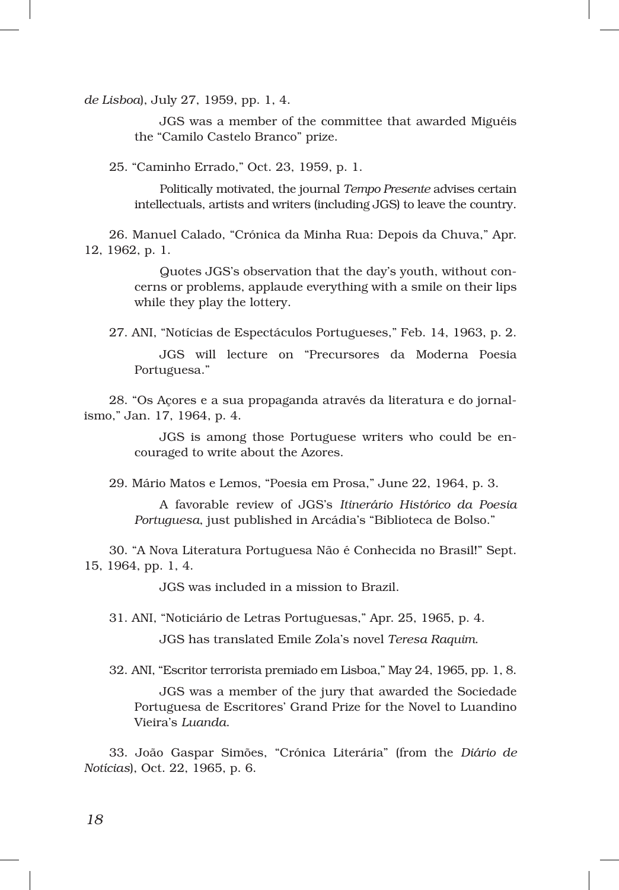*de Lisboa*), July 27, 1959, pp. 1, 4.

JGS was a member of the committee that awarded Miguéis the "Camilo Castelo Branco" prize.

25. "Caminho Errado," Oct. 23, 1959, p. 1.

Politically motivated, the journal *Tempo Presente* advises certain intellectuals, artists and writers (including JGS) to leave the country.

26. Manuel Calado, "Crónica da Minha Rua: Depois da Chuva," Apr. 12, 1962, p. 1.

> Quotes JGS's observation that the day's youth, without concerns or problems, applaude everything with a smile on their lips while they play the lottery.

27. ANI, "Notícias de Espectáculos Portugueses," Feb. 14, 1963, p. 2.

JGS will lecture on "Precursores da Moderna Poesia Portuguesa."

28. "Os Açores e a sua propaganda através da literatura e do jornal‑ ismo," Jan. 17, 1964, p. 4.

> JGS is among those Portuguese writers who could be en‑ couraged to write about the Azores.

29. Mário Matos e Lemos, "Poesia em Prosa," June 22, 1964, p. 3.

A favorable review of JGS's *Itinerário Histórico da Poesia Portuguesa*, just published in Arcádia's "Biblioteca de Bolso."

30. "A Nova Literatura Portuguesa Não é Conhecida no Brasil!" Sept. 15, 1964, pp. 1, 4.

JGS was included in a mission to Brazil.

31. ANI, "Noticiário de Letras Portuguesas," Apr. 25, 1965, p. 4.

JGS has translated Emile Zola's novel *Teresa Raquim*.

32. ANI, "Escritor terrorista premiado em Lisboa," May 24, 1965, pp. 1, 8.

JGS was a member of the jury that awarded the Sociedade Portuguesa de Escritores' Grand Prize for the Novel to Luandino Vieira's *Luanda*.

33. João Gaspar Simões, "Crónica Literária" (from the *Diário de Notícias*), Oct. 22, 1965, p. 6.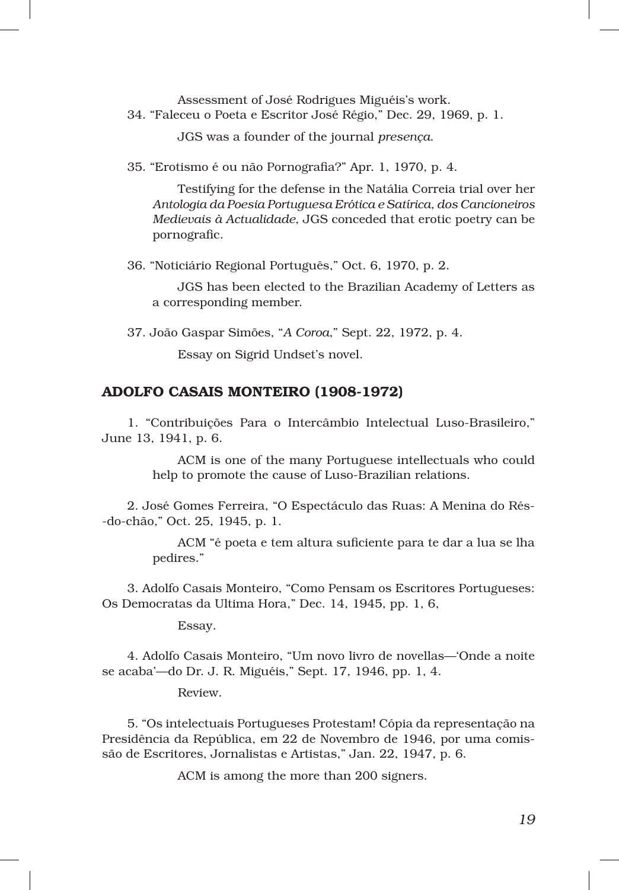Assessment of José Rodrigues Miguéis's work.

34. "Faleceu o Poeta e Escritor José Régio," Dec. 29, 1969, p. 1.

JGS was a founder of the journal *presença*.

35. "Erotismo é ou não Pornografia?" Apr. 1, 1970, p. 4.

Testifying for the defense in the Natália Correia trial over her *Antologia da Poesia Portuguesa Erótica e Satírica, dos Cancioneiros Medievais à Actualidade*, JGS conceded that erotic poetry can be pornografic.

36. "Noticiário Regional Português," Oct. 6, 1970, p. 2.

JGS has been elected to the Brazilian Academy of Letters as a corresponding member.

37. João Gaspar Simões, "*A Coroa*," Sept. 22, 1972, p. 4.

Essay on Sigrid Undset's novel.

## ADOLFO CASAIS MONTEIRO (1908‑1972)

1. "Contribuições Para o Intercâmbio Intelectual Luso‑Brasileiro," June 13, 1941, p. 6.

> ACM is one of the many Portuguese intellectuals who could help to promote the cause of Luso-Brazilian relations.

2. José Gomes Ferreira, "O Espectáculo das Ruas: A Menina do Rés‑ ‑do‑chão," Oct. 25, 1945, p. 1.

> ACM "é poeta e tem altura suficiente para te dar a lua se lha pedires."

3. Adolfo Casais Monteiro, "Como Pensam os Escritores Portugueses: Os Democratas da Ultima Hora," Dec. 14, 1945, pp. 1, 6,

Essay.

4. Adolfo Casais Monteiro, "Um novo livro de novellas—'Onde a noite se acaba'—do Dr. J. R. Miguéis," Sept. 17, 1946, pp. 1, 4.

Review.

5. "Os intelectuais Portugueses Protestam! Cópia da representação na Presidência da República, em 22 de Novembro de 1946, por uma comis‑ são de Escritores, Jornalistas e Artistas," Jan. 22, 1947, p. 6.

ACM is among the more than 200 signers.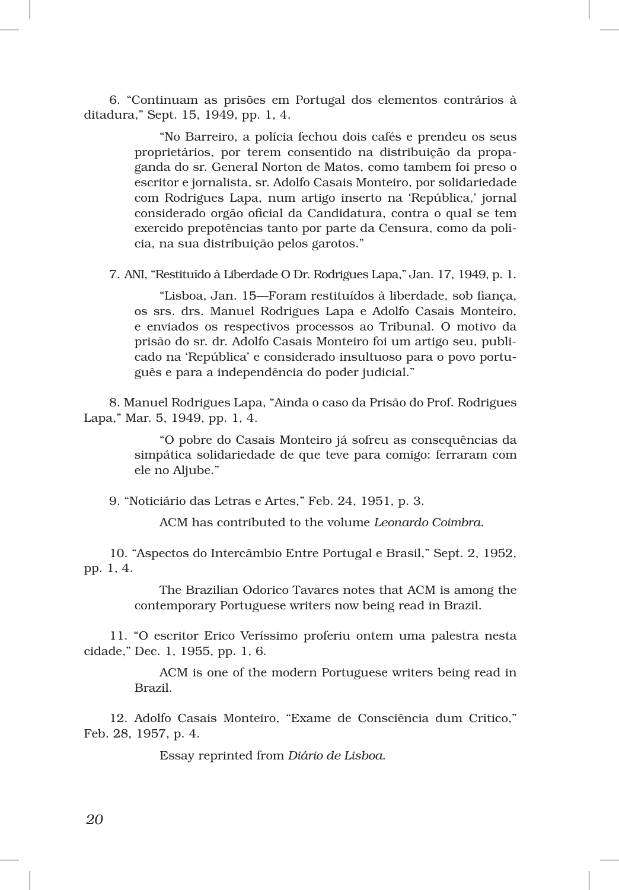6. "Continuam as prisões em Portugal dos elementos contrários à ditadura," Sept. 15, 1949, pp. 1, 4.

> "No Barreiro, a polícia fechou dois cafés e prendeu os seus proprietários, por terem consentido na distribuição da propaganda do sr. General Norton de Matos, como tambem foi preso o escritor e jornalista, sr. Adolfo Casais Monteiro, por solidariedade com Rodrigues Lapa, num artigo inserto na 'República,' jornal considerado orgão oficial da Candidatura, contra o qual se tem exercido prepotências tanto por parte da Censura, como da polícia, na sua distribuição pelos garotos."

7. ANI, "Restituído à Liberdade O Dr. Rodrigues Lapa," Jan. 17, 1949, p. 1.

"Lisboa, Jan. 15—Foram restituídos à liberdade, sob fiança, os srs. drs. Manuel Rodrigues Lapa e Adolfo Casais Monteiro, e enviados os respectivos processos ao Tribunal. O motivo da prisão do sr. dr. Adolfo Casais Monteiro foi um artigo seu, publicado na 'República' e considerado insultuoso para o povo português e para a independência do poder judicial."

8. Manuel Rodrigues Lapa, "Ainda o caso da Prisão do Prof. Rodrigues Lapa," Mar. 5, 1949, pp. 1, 4.

> "O pobre do Casais Monteiro já sofreu as consequências da simpática solidariedade de que teve para comigo: ferraram com ele no Aljube."

9. "Noticiário das Letras e Artes," Feb. 24, 1951, p. 3.

ACM has contributed to the volume *Leonardo Coimbra*.

10. "Aspectos do Intercâmbio Entre Portugal e Brasil," Sept. 2, 1952, pp. 1, 4.

> The Brazilian Odorico Tavares notes that ACM is among the contemporary Portuguese writers now being read in Brazil.

11. "O escritor Erico Veríssimo proferiu ontem uma palestra nesta cidade," Dec. 1, 1955, pp. 1, 6.

> ACM is one of the modern Portuguese writers being read in Brazil.

12. Adolfo Casais Monteiro, "Exame de Consciência dum Crítico," Feb. 28, 1957, p. 4.

Essay reprinted from *Diário de Lisboa*.